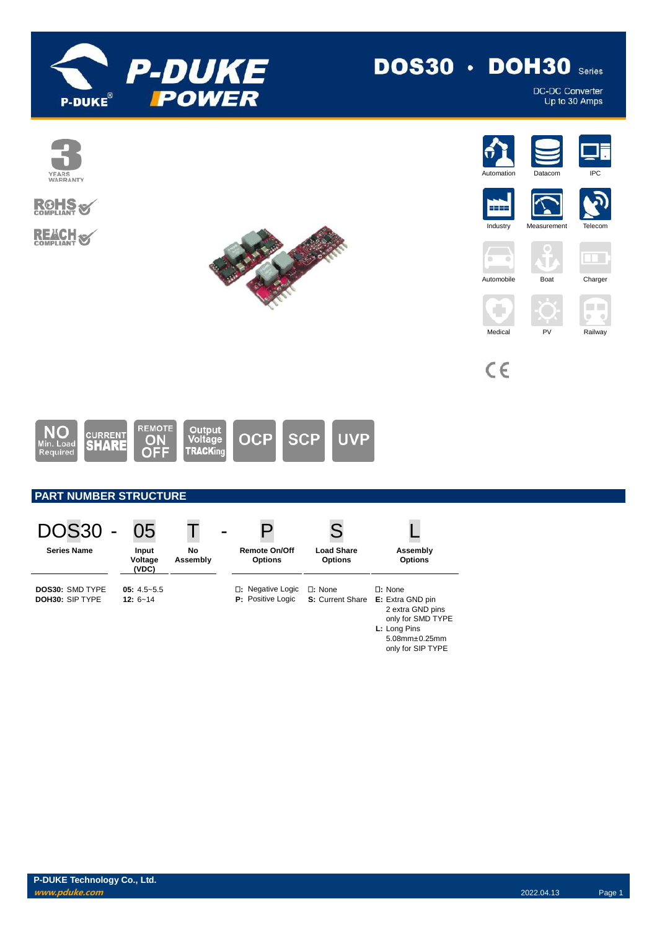

# $DOS30 \cdot DOH30$  Series

DC-DC Converter<br>Up to 30 Amps



| <b>DOS30</b>                              | 05                              |                |                                               |                                          |                                                                                                                                               |
|-------------------------------------------|---------------------------------|----------------|-----------------------------------------------|------------------------------------------|-----------------------------------------------------------------------------------------------------------------------------------------------|
| <b>Series Name</b>                        | Input<br>Voltage<br>(VDC)       | No<br>Assembly | <b>Remote On/Off</b><br><b>Options</b>        | <b>Load Share</b><br><b>Options</b>      | Assembly<br><b>Options</b>                                                                                                                    |
| <b>DOS30: SMD TYPE</b><br>DOH30: SIP TYPE | $05: 4.5 - 5.5$<br>$12: 6 - 14$ |                | □: Negative Logic<br><b>P:</b> Positive Logic | $\Box$ : None<br><b>S:</b> Current Share | $\square$ : None<br>E: Extra GND pin<br>2 extra GND pins<br>only for SMD TYPE<br>L: Long Pins<br>$5.08$ mm $\pm 0.25$ mm<br>only for SIP TYPE |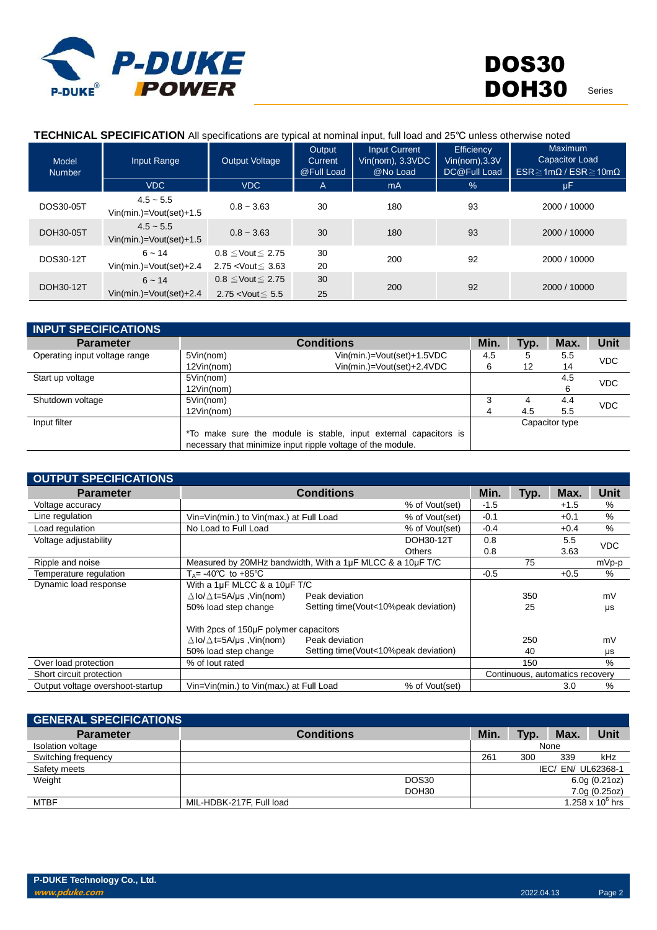

#### **TECHNICAL SPECIFICATION** All specifications are typical at nominal input, full load and 25℃ unless otherwise noted

| <b>Model</b><br><b>Number</b> | Input Range                              | Output Voltage                                                      | Output<br><b>Current</b><br>@Full Load | <b>Input Current</b><br>Vin(nom), 3.3VDC<br>@No Load | <b>Efficiency</b><br>Vin(nom), 3.3V<br>DC@Full Load | Maximum<br>Capacitor Load<br>$ESR \geq 1m\Omega$ / $ESR \geq 10m\Omega$ |
|-------------------------------|------------------------------------------|---------------------------------------------------------------------|----------------------------------------|------------------------------------------------------|-----------------------------------------------------|-------------------------------------------------------------------------|
|                               | <b>VDC</b>                               | VDC.                                                                | A                                      | mA                                                   | $\frac{9}{6}$                                       | <b>uF</b>                                                               |
| DOS30-05T                     | $4.5 - 5.5$<br>$Vin(min.)=Vout(set)+1.5$ | $0.8 - 3.63$                                                        | 30                                     | 180                                                  | 93                                                  | 2000 / 10000                                                            |
| DOH30-05T                     | $4.5 - 5.5$<br>$Vin(min.)=Vout(set)+1.5$ | $0.8 - 3.63$                                                        | 30                                     | 180                                                  | 93                                                  | 2000 / 10000                                                            |
| DOS30-12T                     | $6 - 14$<br>$Vin(min.)=Vout(set)+2.4$    | $0.8 \leq$ Vout $\leq 2.75$<br>2.75 < Vout $\leq 3.63$              | 30<br>20                               | 200                                                  | 92                                                  | 2000 / 10000                                                            |
| DOH30-12T                     | $6 - 14$<br>$Vin(min.)=Vout(set)+2.4$    | $0.8 \leq$ Vout $\leq 2.75$<br>2.75 <vout<math>\leq 5.5</vout<math> | 30<br>25                               | 200                                                  | 92                                                  | 2000 / 10000                                                            |

| <b>INPUT SPECIFICATIONS</b>   |                                                                  |      |      |                |            |
|-------------------------------|------------------------------------------------------------------|------|------|----------------|------------|
| <b>Parameter</b>              | <b>Conditions</b>                                                | Min. | Typ. | Max.           | Unit       |
| Operating input voltage range | Vin(min.)=Vout(set)+1.5VDC<br>5Vin(nom)                          | 4.5  | 5    | 5.5            | <b>VDC</b> |
|                               | Vin(min.)=Vout(set)+2.4VDC<br>12Vin(nom)                         | 6    | 12   | 14             |            |
| Start up voltage              | 5Vin(nom)                                                        |      |      | 4.5            | <b>VDC</b> |
|                               | 12Vin(nom)                                                       |      |      | 6              |            |
| Shutdown voltage              | 5Vin(nom)                                                        | 3    | 4    | 4.4            | <b>VDC</b> |
|                               | 12Vin(nom)                                                       | 4    | 4.5  | 5.5            |            |
| Input filter                  |                                                                  |      |      | Capacitor type |            |
|                               | *To make sure the module is stable, input external capacitors is |      |      |                |            |
|                               | necessary that minimize input ripple voltage of the module.      |      |      |                |            |

| <b>OUTPUT SPECIFICATIONS</b>     |                                                           |                                                           |        |      |                                 |             |
|----------------------------------|-----------------------------------------------------------|-----------------------------------------------------------|--------|------|---------------------------------|-------------|
| <b>Parameter</b>                 | <b>Conditions</b>                                         |                                                           | Min.   | Typ. | Max.                            | <b>Unit</b> |
| Voltage accuracy                 |                                                           | % of Vout(set)                                            | $-1.5$ |      | $+1.5$                          | %           |
| Line regulation                  | Vin=Vin(min.) to Vin(max.) at Full Load                   | % of Vout(set)                                            | $-0.1$ |      | $+0.1$                          | %           |
| Load regulation                  | No Load to Full Load                                      | % of Vout(set)                                            | $-0.4$ |      | $+0.4$                          | %           |
| Voltage adjustability            |                                                           | DOH30-12T                                                 | 0.8    |      | 5.5                             | <b>VDC</b>  |
|                                  |                                                           | <b>Others</b>                                             | 0.8    |      | 3.63                            |             |
| Ripple and noise                 |                                                           | Measured by 20MHz bandwidth, With a 1µF MLCC & a 10µF T/C |        |      |                                 | mVp-p       |
| Temperature regulation           | $T_A$ = -40°C to +85°C                                    |                                                           | $-0.5$ |      | $+0.5$                          | %           |
| Dynamic load response            | With a 1µF MLCC & a 10µF T/C                              |                                                           |        |      |                                 |             |
|                                  | $\Delta$ lo/ $\Delta$ t=5A/µs ,Vin(nom)<br>Peak deviation |                                                           |        | 350  |                                 | mV          |
|                                  | 50% load step change                                      | Setting time(Vout<10%peak deviation)                      |        | 25   |                                 | μs          |
|                                  | With 2pcs of 150µF polymer capacitors                     |                                                           |        |      |                                 |             |
|                                  | $\Delta$ lo/ $\Delta$ t=5A/µs ,Vin(nom)<br>Peak deviation |                                                           |        | 250  |                                 | mV          |
|                                  | 50% load step change                                      | Setting time(Vout<10%peak deviation)                      |        | 40   |                                 | μs          |
| Over load protection             | % of lout rated                                           |                                                           |        | 150  |                                 | %           |
| Short circuit protection         |                                                           |                                                           |        |      | Continuous, automatics recovery |             |
| Output voltage overshoot-startup | Vin=Vin(min.) to Vin(max.) at Full Load                   | % of Vout(set)                                            |        |      | 3.0                             | $\%$        |

| <b>GENERAL SPECIFICATIONS</b> |                          |                   |      |      |                    |                           |
|-------------------------------|--------------------------|-------------------|------|------|--------------------|---------------------------|
| <b>Parameter</b>              | <b>Conditions</b>        |                   | Min. | Typ. | Max.               | Unit                      |
| Isolation voltage             |                          |                   |      |      | None               |                           |
| Switching frequency           |                          |                   | 261  | 300  | 339                | kHz                       |
| Safety meets                  |                          |                   |      |      | IEC/ EN/ UL62368-1 |                           |
| Weight                        |                          | DOS30             |      |      |                    | 6.0g(0.21oz)              |
|                               |                          | DOH <sub>30</sub> |      |      |                    | 7.0g(0.25oz)              |
| <b>MTBF</b>                   | MIL-HDBK-217F, Full load |                   |      |      |                    | 1.258 x 10 $^{\circ}$ hrs |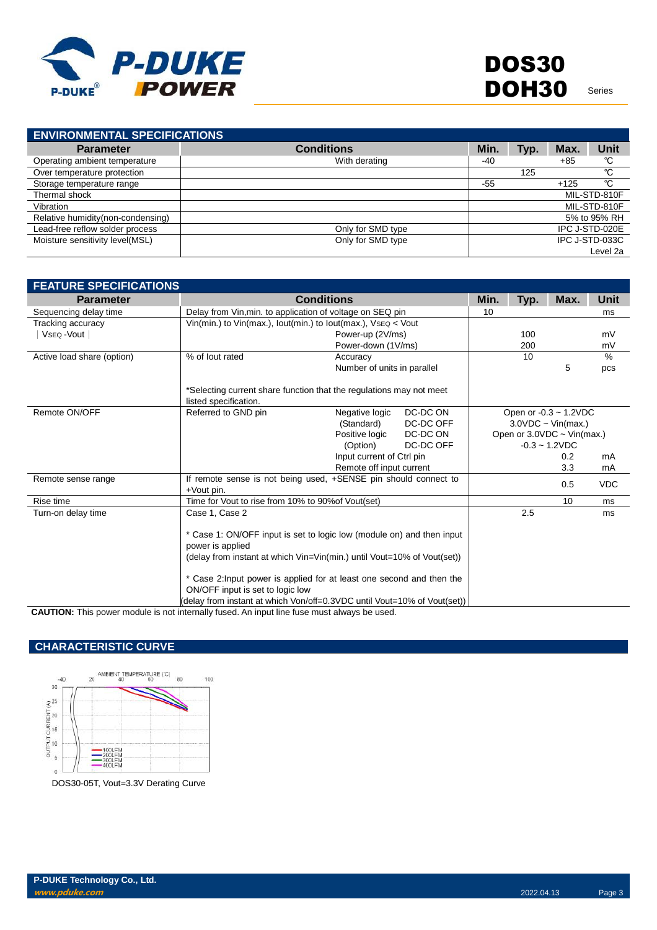

**ENVIRONMENTAL SPECIFICATIONS Parameter Conditions Min. Typ. Max. Unit** Operating ambient temperature and temperature with derating the Microsoft of the Microsoft of temperature protection<br>Over temperature protection the COV of the COV of the COV of the COV of the COV of temperature protectio Over temperature protection 125 ℃ <br>Storage temperature range temperature range 125 ℃ 125 ℃ Storage temperature range Thermal shock MIL-STD-810F Vibration MIL-STD-810F<br>
Relative humidity(non-condensing) 5% to 95% RH Relative humidity(non-condensing) and the state of the state of the state of the state of the state of the SS to 95% RH<br>
Sead-free reflow solder process and the state of the SMD type of the SS to 95% RH cad-free reflow sol Lead-free reflow solder process **CONLINE CONSIDENT CONCERNATION** Only for SMD type **IPC J-STD-020E**<br>
Moisture sensitivity level(MSL) **CONLINE CONSIDENT CONCERNATION** Only for SMD type **IPC J-STD-033C** Moisture sensitivity level(MSL) Level 2a

| <b>FEATURE SPECIFICATIONS</b> |                                                                                                                                                                                                                                                                                                                                                               |                             |           |      |      |                             |            |
|-------------------------------|---------------------------------------------------------------------------------------------------------------------------------------------------------------------------------------------------------------------------------------------------------------------------------------------------------------------------------------------------------------|-----------------------------|-----------|------|------|-----------------------------|------------|
| <b>Parameter</b>              |                                                                                                                                                                                                                                                                                                                                                               | <b>Conditions</b>           |           | Min. | Typ. | Max.                        | Unit       |
| Sequencing delay time         | Delay from Vin, min. to application of voltage on SEQ pin                                                                                                                                                                                                                                                                                                     | 10                          |           |      | ms   |                             |            |
| Tracking accuracy             | Vin(min.) to Vin(max.), lout(min.) to lout(max.), $Vseq$ < Vout                                                                                                                                                                                                                                                                                               |                             |           |      |      |                             |            |
| VsEQ-Vout                     |                                                                                                                                                                                                                                                                                                                                                               | Power-up (2V/ms)            |           |      | 100  |                             | mV         |
|                               |                                                                                                                                                                                                                                                                                                                                                               | Power-down (1V/ms)          |           |      | 200  |                             | mV         |
| Active load share (option)    | % of lout rated                                                                                                                                                                                                                                                                                                                                               | Accuracy                    |           |      | 10   |                             | $\%$       |
|                               |                                                                                                                                                                                                                                                                                                                                                               | Number of units in parallel |           |      |      | 5                           | pcs        |
|                               | *Selecting current share function that the regulations may not meet<br>listed specification.                                                                                                                                                                                                                                                                  |                             |           |      |      |                             |            |
| Remote ON/OFF                 | Referred to GND pin                                                                                                                                                                                                                                                                                                                                           | Negative logic              | DC-DC ON  |      |      | Open or $-0.3 \sim 1.2$ VDC |            |
|                               |                                                                                                                                                                                                                                                                                                                                                               | (Standard)                  | DC-DC OFF |      |      | $3.0VDC \sim Vin(max.)$     |            |
|                               |                                                                                                                                                                                                                                                                                                                                                               | Positive logic              | DC-DC ON  |      |      | Open or 3.0VDC ~ Vin(max.)  |            |
|                               |                                                                                                                                                                                                                                                                                                                                                               | (Option)                    | DC-DC OFF |      |      | $-0.3 - 1.2$ VDC            |            |
|                               |                                                                                                                                                                                                                                                                                                                                                               | Input current of Ctrl pin   |           |      |      | 0.2                         | mA         |
|                               |                                                                                                                                                                                                                                                                                                                                                               | Remote off input current    |           |      |      | 3.3                         | mA         |
| Remote sense range            | If remote sense is not being used, +SENSE pin should connect to<br>$+$ Vout pin.                                                                                                                                                                                                                                                                              |                             |           |      |      | 0.5                         | <b>VDC</b> |
| Rise time                     | Time for Vout to rise from 10% to 90% of Vout(set)                                                                                                                                                                                                                                                                                                            |                             |           |      |      | 10                          | ms         |
| Turn-on delay time            | Case 1, Case 2                                                                                                                                                                                                                                                                                                                                                |                             |           |      | 2.5  |                             | ms         |
|                               | * Case 1: ON/OFF input is set to logic low (module on) and then input<br>power is applied<br>(delay from instant at which Vin=Vin(min.) until Vout=10% of Vout(set))<br>* Case 2: Input power is applied for at least one second and then the<br>ON/OFF input is set to logic low<br>(delay from instant at which Von/off=0.3VDC until Vout=10% of Vout(set)) |                             |           |      |      |                             |            |

**CAUTION:** This power module is not internally fused. An input line fuse must always be used.

# **CHARACTERISTIC CURVE**

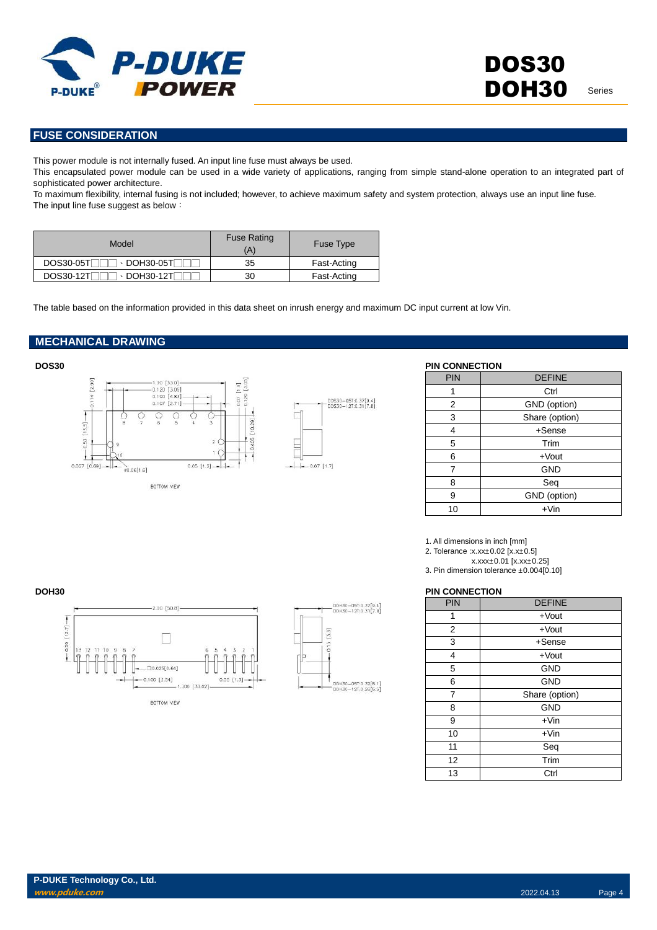

### **FUSE CONSIDERATION**

This power module is not internally fused. An input line fuse must always be used.

This encapsulated power module can be used in a wide variety of applications, ranging from simple stand-alone operation to an integrated part of sophisticated power architecture.

To maximum flexibility, internal fusing is not included; however, to achieve maximum safety and system protection, always use an input line fuse. The input line fuse suggest as below:

| Model                                        | <b>Fuse Rating</b><br>'A | Fuse Type   |
|----------------------------------------------|--------------------------|-------------|
| $\cdot$ DOH30-05TF<br><b>DOS30-05TF</b>      | 35                       | Fast-Acting |
| <b>DOS30-12T</b><br>$\cdot$ DOH30-12T $\Box$ | 30                       | Fast-Acting |

The table based on the information provided in this data sheet on inrush energy and maximum DC input current at low Vin.

#### **MECHANICAL DRAWING**





| <b>PIN CONNECTION</b> |                |
|-----------------------|----------------|
| PIN                   | <b>DEFINE</b>  |
|                       | Ctrl           |
| 2                     | GND (option)   |
| 3                     | Share (option) |
| 4                     | $+Sense$       |
| 5                     | Trim           |
| 6                     | $+$ Vout       |
| 7                     | <b>GND</b>     |
| 8                     | Seq            |
| 9                     | GND (option)   |
| 10                    | $+V$ in        |

1. All dimensions in inch [mm]

2. Tolerance :x.xx±0.02 [x.x±0.5]

x.xxx±0.01 [x.xx±0.25]

3. Pin dimension tolerance ±0.004[0.10]

#### **DOH30 PIN CONNECTION**

| <b>PIN</b> | <b>DEFINE</b>  |
|------------|----------------|
| 1          | $+$ Vout       |
| 2          | $+$ Vout       |
| 3          | $+$ Sense      |
| 4          | $+$ Vout       |
| 5          | <b>GND</b>     |
| 6          | <b>GND</b>     |
| 7          | Share (option) |
| 8          | <b>GND</b>     |
| 9          | $+V$ in        |
| 10         | $+V$ in        |
| 11         | Seq            |
| 12         | Trim           |
| 13         | Ctrl           |



| DOH30-05T:0.32[8.1]<br>DOH30-12T:0.26[6.5] |
|--------------------------------------------|

 $\overline{\mathcal{B}}$ 

DOH30-05T:0.37[9.4]<br>DOH30-12T:0.31[7.8]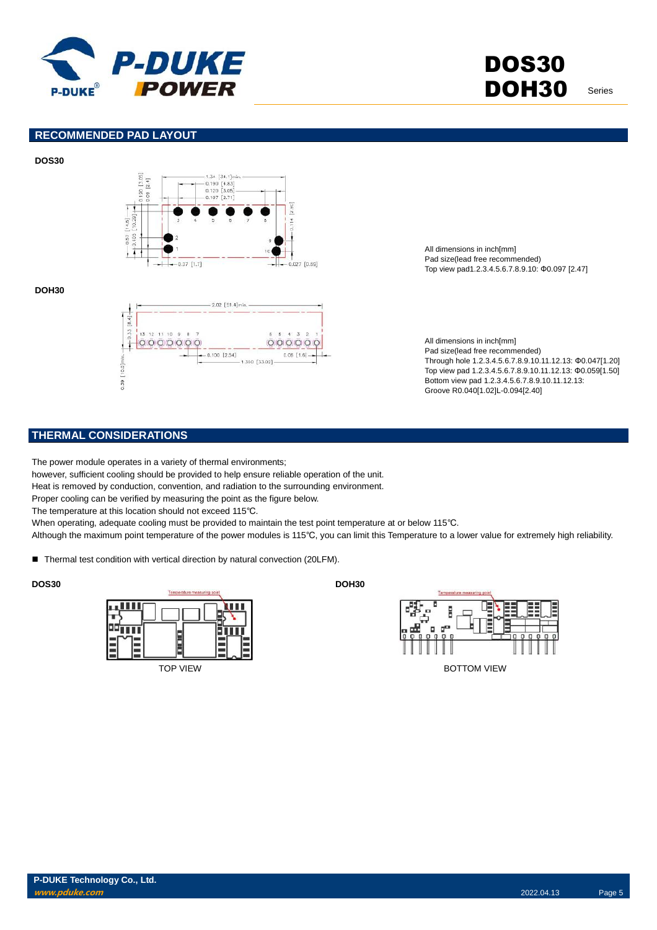

#### **RECOMMENDED PAD LAYOUT**





#### **DOH30**



All dimensions in inch[mm] Pad size(lead free recommended) Top view pad1.2.3.4.5.6.7.8.9.10: Φ0.097 [2.47]

All dimensions in inch[mm] Pad size(lead free recommended) Through hole 1.2.3.4.5.6.7.8.9.10.11.12.13: Φ0.047[1.20] Top view pad 1.2.3.4.5.6.7.8.9.10.11.12.13: Φ0.059[1.50] Bottom view pad 1.2.3.4.5.6.7.8.9.10.11.12.13: Groove R0.040[1.02]L-0.094[2.40]

## **THERMAL CONSIDERATIONS**

The power module operates in a variety of thermal environments;

however, sufficient cooling should be provided to help ensure reliable operation of the unit.

Heat is removed by conduction, convention, and radiation to the surrounding environment.

Proper cooling can be verified by measuring the point as the figure below.

The temperature at this location should not exceed 115℃.

When operating, adequate cooling must be provided to maintain the test point temperature at or below 115℃.

Although the maximum point temperature of the power modules is 115℃, you can limit this Temperature to a lower value for extremely high reliability.

■ Thermal test condition with vertical direction by natural convection (20LFM).





**P-DUKE Technology Co., Ltd. www.pduke.com** 2022.04.13 Page 5